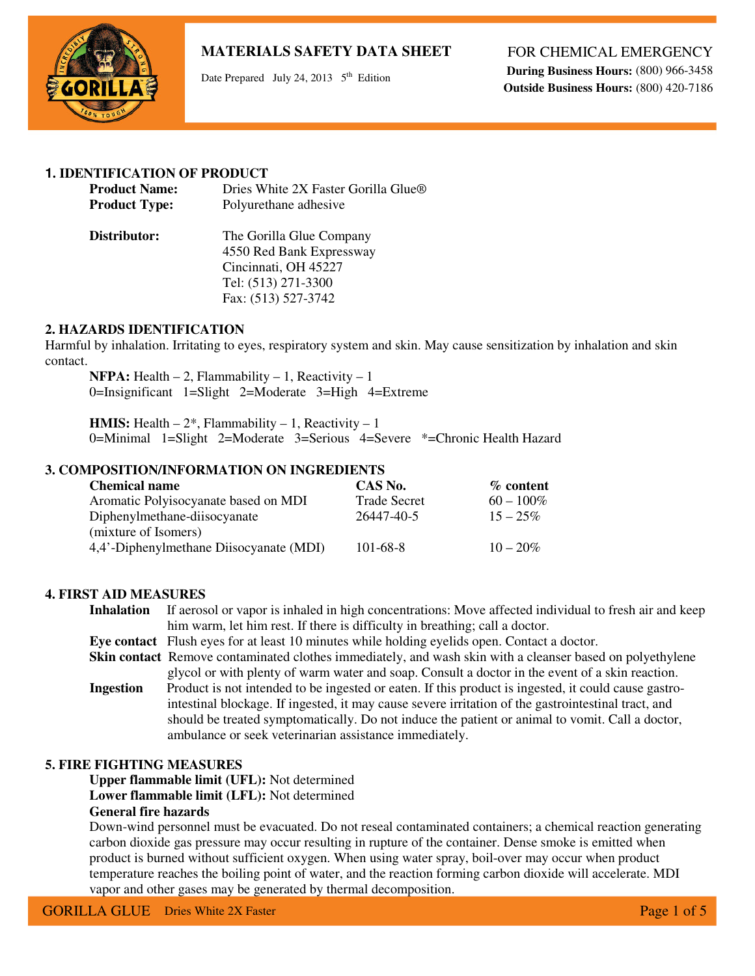

Date Prepared July 24, 2013  $5<sup>th</sup>$  Edition

FOR CHEMICAL EMERGENCY

**During Business Hours:** (800) 966-3458  **Outside Business Hours:** (800) 420-7186

## **1. IDENTIFICATION OF PRODUCT**

| <b>Product Name:</b> | Dries White 2X Faster Gorilla Glue <sup>®</sup> |
|----------------------|-------------------------------------------------|
| <b>Product Type:</b> | Polyurethane adhesive                           |
| Distributor:         | The Gorilla Glue Company                        |

4550 Red Bank Expressway Cincinnati, OH 45227 Tel: (513) 271-3300 Fax: (513) 527-3742

## **2. HAZARDS IDENTIFICATION**

Harmful by inhalation. Irritating to eyes, respiratory system and skin. May cause sensitization by inhalation and skin contact.

**NFPA:** Health  $-2$ , Flammability  $-1$ , Reactivity  $-1$ 0=Insignificant 1=Slight 2=Moderate 3=High 4=Extreme

**HMIS:** Health  $-2^*$ , Flammability  $-1$ , Reactivity  $-1$ 0=Minimal 1=Slight 2=Moderate 3=Serious 4=Severe \*=Chronic Health Hazard

## **3. COMPOSITION/INFORMATION ON INGREDIENTS**

| <b>Chemical name</b>                    | CAS No.             | $%$ content  |
|-----------------------------------------|---------------------|--------------|
| Aromatic Polyisocyanate based on MDI    | <b>Trade Secret</b> | $60 - 100\%$ |
| Diphenylmethane-diisocyanate            | 26447-40-5          | $15 - 25\%$  |
| (mixture of Isomers)                    |                     |              |
| 4,4'-Diphenylmethane Diisocyanate (MDI) | $101 - 68 - 8$      | $10 - 20\%$  |

#### **4. FIRST AID MEASURES**

**Inhalation** If aerosol or vapor is inhaled in high concentrations: Move affected individual to fresh air and keep him warm, let him rest. If there is difficulty in breathing; call a doctor.

**Eye contact** Flush eyes for at least 10 minutes while holding eyelids open. Contact a doctor.

**Skin contact** Remove contaminated clothes immediately, and wash skin with a cleanser based on polyethylene glycol or with plenty of warm water and soap. Consult a doctor in the event of a skin reaction.

**Ingestion** Product is not intended to be ingested or eaten. If this product is ingested, it could cause gastro intestinal blockage. If ingested, it may cause severe irritation of the gastrointestinal tract, and should be treated symptomatically. Do not induce the patient or animal to vomit. Call a doctor, ambulance or seek veterinarian assistance immediately.

#### **5. FIRE FIGHTING MEASURES**

**Upper flammable limit (UFL):** Not determined

**Lower flammable limit (LFL):** Not determined

## **General fire hazards**

Down-wind personnel must be evacuated. Do not reseal contaminated containers; a chemical reaction generating carbon dioxide gas pressure may occur resulting in rupture of the container. Dense smoke is emitted when product is burned without sufficient oxygen. When using water spray, boil-over may occur when product temperature reaches the boiling point of water, and the reaction forming carbon dioxide will accelerate. MDI vapor and other gases may be generated by thermal decomposition.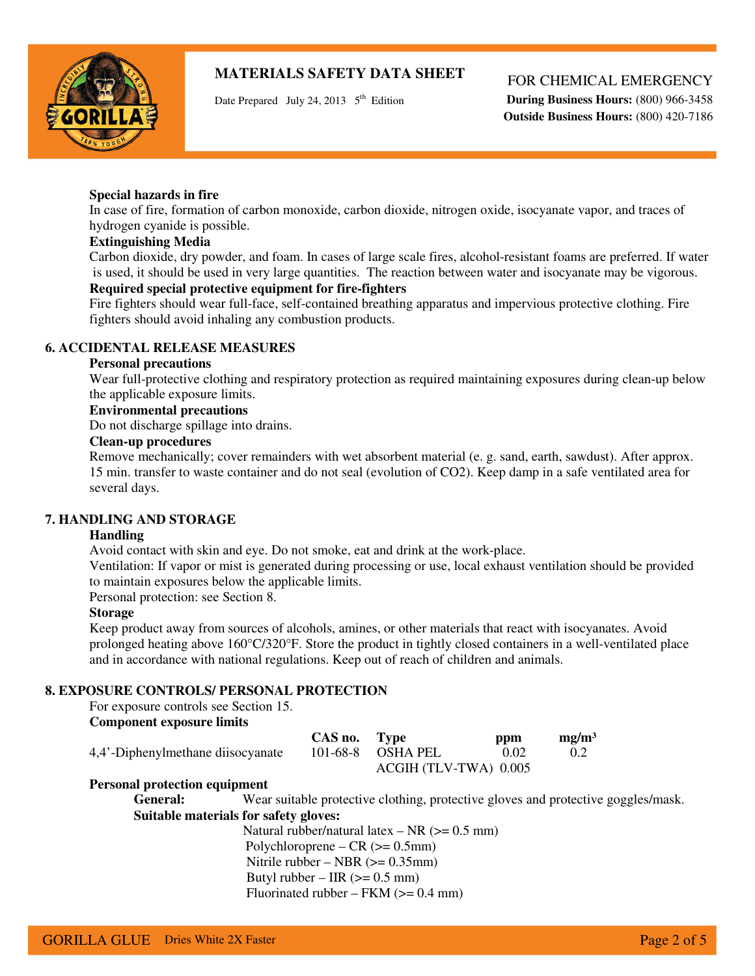

Date Prepared July 24, 2013  $5<sup>th</sup>$  Edition

## FOR CHEMICAL EMERGENCY

**During Business Hours:** (800) 966-3458  **Outside Business Hours:** (800) 420-7186

#### **Special hazards in fire**

In case of fire, formation of carbon monoxide, carbon dioxide, nitrogen oxide, isocyanate vapor, and traces of hydrogen cyanide is possible.

## **Extinguishing Media**

Carbon dioxide, dry powder, and foam. In cases of large scale fires, alcohol-resistant foams are preferred. If water is used, it should be used in very large quantities. The reaction between water and isocyanate may be vigorous. **Required special protective equipment for fire-fighters** 

Fire fighters should wear full-face, self-contained breathing apparatus and impervious protective clothing. Fire fighters should avoid inhaling any combustion products.

## **6. ACCIDENTAL RELEASE MEASURES**

#### **Personal precautions**

Wear full-protective clothing and respiratory protection as required maintaining exposures during clean-up below the applicable exposure limits.

## **Environmental precautions**

Do not discharge spillage into drains.

## **Clean-up procedures**

Remove mechanically; cover remainders with wet absorbent material (e. g. sand, earth, sawdust). After approx. 15 min. transfer to waste container and do not seal (evolution of CO2). Keep damp in a safe ventilated area for several days.

#### **7. HANDLING AND STORAGE**

#### **Handling**

Avoid contact with skin and eye. Do not smoke, eat and drink at the work-place.

Ventilation: If vapor or mist is generated during processing or use, local exhaust ventilation should be provided to maintain exposures below the applicable limits.

Personal protection: see Section 8.

## **Storage**

Keep product away from sources of alcohols, amines, or other materials that react with isocyanates. Avoid prolonged heating above 160°C/320°F. Store the product in tightly closed containers in a well-ventilated place and in accordance with national regulations. Keep out of reach of children and animals.

## **8. EXPOSURE CONTROLS/ PERSONAL PROTECTION**

For exposure controls see Section 15.

# **Component exposure limits**

|                                   | CAS no. Type |                       | ppm  | mg/m <sup>3</sup> |
|-----------------------------------|--------------|-----------------------|------|-------------------|
| 4,4'-Diphenylmethane diisocyanate |              | 101-68-8 OSHA PEL     | 0.02 |                   |
|                                   |              | ACGIH (TLV-TWA) 0.005 |      |                   |

#### **Personal protection equipment**

General: Wear suitable protective clothing, protective gloves and protective goggles/mask. **Suitable materials for safety gloves:** 

Natural rubber/natural latex  $- NR$  ( $>= 0.5$  mm)  $Polychloroprene - CR (= 0.5mm)$ Nitrile rubber – NBR  $(>= 0.35$ mm) Butyl rubber – IIR  $(>= 0.5$  mm) Fluorinated rubber – FKM  $(>= 0.4$  mm)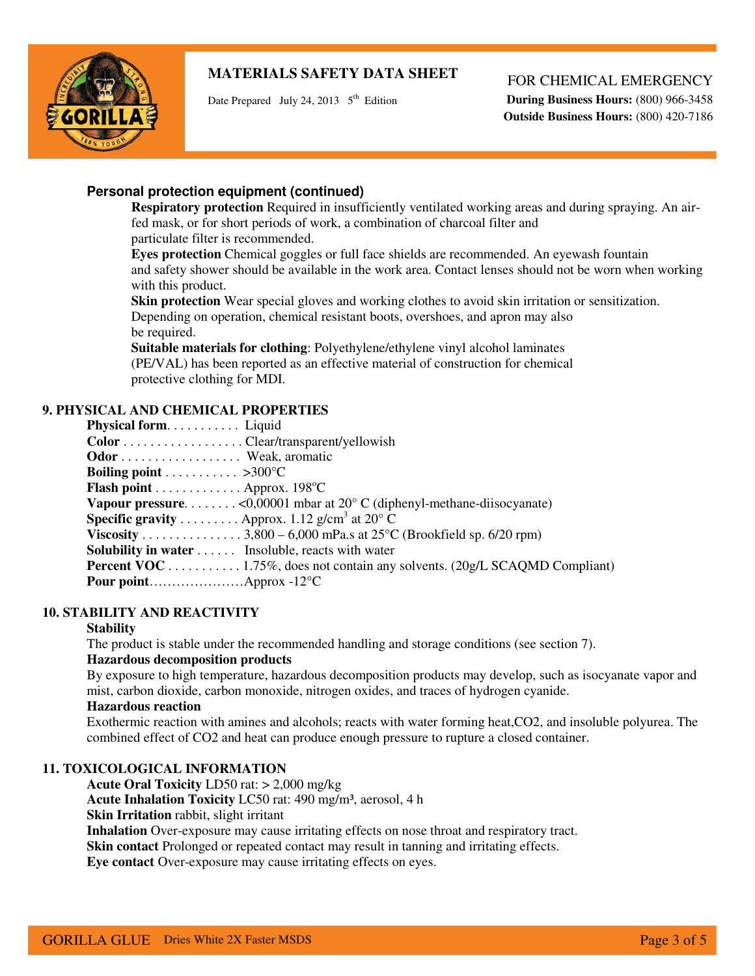

Date Prepared July 24, 2013  $5<sup>th</sup>$  Edition

## FOR CHEMICAL EMERGENCY

**During Business Hours:** (800) 966-3458  **Outside Business Hours:** (800) 420-7186

# **Personal protection equipment (continued)**

**Respiratory protection** Required in insufficiently ventilated working areas and during spraying. An airfed mask, or for short periods of work, a combination of charcoal filter and particulate filter is recommended.

**Eyes protection** Chemical goggles or full face shields are recommended. An eyewash fountain and safety shower should be available in the work area. Contact lenses should not be worn when working with this product.

**Skin protection** Wear special gloves and working clothes to avoid skin irritation or sensitization. Depending on operation, chemical resistant boots, overshoes, and apron may also be required.

**Suitable materials for clothing**: Polyethylene/ethylene vinyl alcohol laminates (PE/VAL) has been reported as an effective material of construction for chemical protective clothing for MDI.

# **9. PHYSICAL AND CHEMICAL PROPERTIES**

| Physical form Liquid                                                                     |  |
|------------------------------------------------------------------------------------------|--|
| $Color \dots \dots \dots \dots \dots \dots \dots \dots \dots \dots \dots \dots$          |  |
| <b>Odor</b> Weak, aromatic                                                               |  |
| <b>Boiling point</b> > 300 °C                                                            |  |
| <b>Flash point</b> Approx. 198 <sup>o</sup> C                                            |  |
| <b>Vapour pressure.</b> < 0,00001 mbar at 20 $\degree$ C (diphenyl-methane-diisocyanate) |  |
| <b>Specific gravity</b> Approx. 1.12 g/cm <sup>3</sup> at 20 <sup>o</sup> C              |  |
| Viscosity 3,800 – 6,000 mPa.s at $25^{\circ}$ C (Brookfield sp. 6/20 rpm)                |  |
| <b>Solubility in water</b> Insoluble, reacts with water                                  |  |
| <b>Percent VOC</b> 1.75%, does not contain any solvents. (20g/L SCAQMD Compliant)        |  |
| <b>Pour point</b> Approx -12 <sup>o</sup> C                                              |  |
|                                                                                          |  |

## **10. STABILITY AND REACTIVITY**

## **Stability**

The product is stable under the recommended handling and storage conditions (see section 7).

## **Hazardous decomposition products**

By exposure to high temperature, hazardous decomposition products may develop, such as isocyanate vapor and mist, carbon dioxide, carbon monoxide, nitrogen oxides, and traces of hydrogen cyanide.

## **Hazardous reaction**

Exothermic reaction with amines and alcohols; reacts with water forming heat,CO2, and insoluble polyurea. The combined effect of CO2 and heat can produce enough pressure to rupture a closed container.

## **11. TOXICOLOGICAL INFORMATION**

**Acute Oral Toxicity** LD50 rat: > 2,000 mg/kg **Acute Inhalation Toxicity** LC50 rat: 490 mg/m³, aerosol, 4 h **Skin Irritation** rabbit, slight irritant

**Inhalation** Over-exposure may cause irritating effects on nose throat and respiratory tract.

**Skin contact** Prolonged or repeated contact may result in tanning and irritating effects.

**Eye contact** Over-exposure may cause irritating effects on eyes.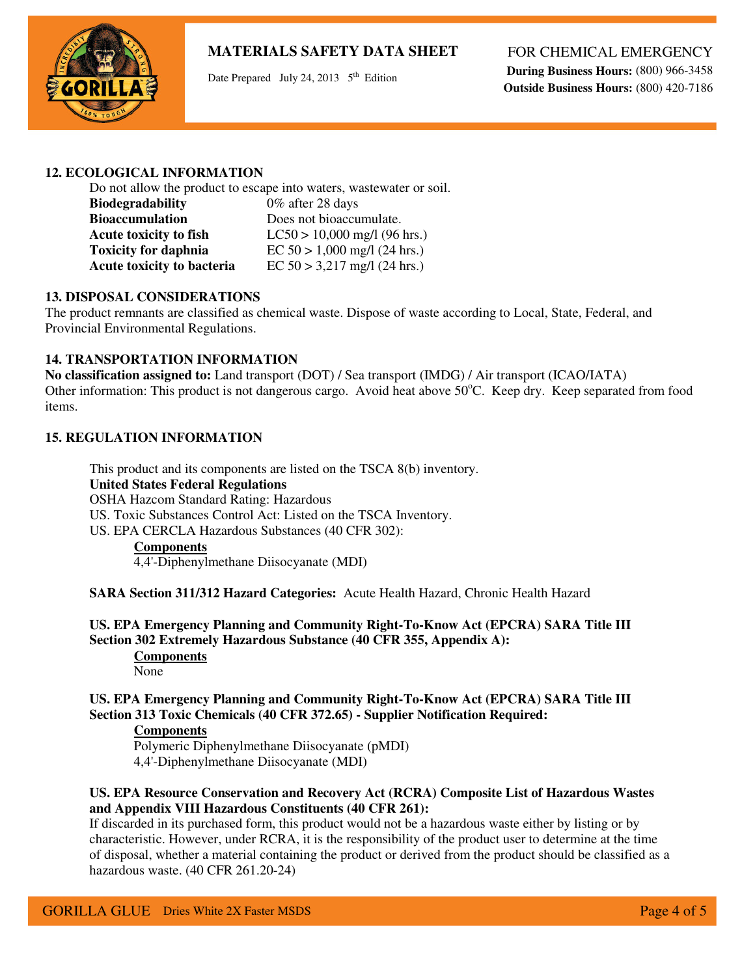

Date Prepared July 24, 2013  $5<sup>th</sup>$  Edition

FOR CHEMICAL EMERGENCY

**During Business Hours:** (800) 966-3458  **Outside Business Hours:** (800) 420-7186

## **12. ECOLOGICAL INFORMATION**

Do not allow the product to escape into waters, wastewater or soil. **Biodegradability** 0% after 28 days **Bioaccumulation** Does not bioaccumulate. **Acute toxicity to fish** LC50 > 10,000 mg/l (96 hrs.) **Toxicity for daphnia** <br>**EC 50 > 1,000 mg/l (24 hrs.)**<br>**Acute toxicity to bacteria** <br>**EC 50 > 3,217 mg/l (24 hrs.)**  $EC 50 > 3,217$  mg/l (24 hrs.)

## **13. DISPOSAL CONSIDERATIONS**

The product remnants are classified as chemical waste. Dispose of waste according to Local, State, Federal, and Provincial Environmental Regulations.

## **14. TRANSPORTATION INFORMATION**

**No classification assigned to:** Land transport (DOT) / Sea transport (IMDG) / Air transport (ICAO/IATA) Other information: This product is not dangerous cargo. Avoid heat above 50°C. Keep dry. Keep separated from food items.

## **15. REGULATION INFORMATION**

This product and its components are listed on the TSCA 8(b) inventory. **United States Federal Regulations**  OSHA Hazcom Standard Rating: Hazardous US. Toxic Substances Control Act: Listed on the TSCA Inventory. US. EPA CERCLA Hazardous Substances (40 CFR 302): **Components** 

4,4'-Diphenylmethane Diisocyanate (MDI)

**SARA Section 311/312 Hazard Categories:** Acute Health Hazard, Chronic Health Hazard

**US. EPA Emergency Planning and Community Right-To-Know Act (EPCRA) SARA Title III Section 302 Extremely Hazardous Substance (40 CFR 355, Appendix A): Components**  None

**US. EPA Emergency Planning and Community Right-To-Know Act (EPCRA) SARA Title III Section 313 Toxic Chemicals (40 CFR 372.65) - Supplier Notification Required:** 

#### **Components**

Polymeric Diphenylmethane Diisocyanate (pMDI) 4,4'-Diphenylmethane Diisocyanate (MDI)

## **US. EPA Resource Conservation and Recovery Act (RCRA) Composite List of Hazardous Wastes and Appendix VIII Hazardous Constituents (40 CFR 261):**

If discarded in its purchased form, this product would not be a hazardous waste either by listing or by characteristic. However, under RCRA, it is the responsibility of the product user to determine at the time of disposal, whether a material containing the product or derived from the product should be classified as a hazardous waste. (40 CFR 261.20-24)